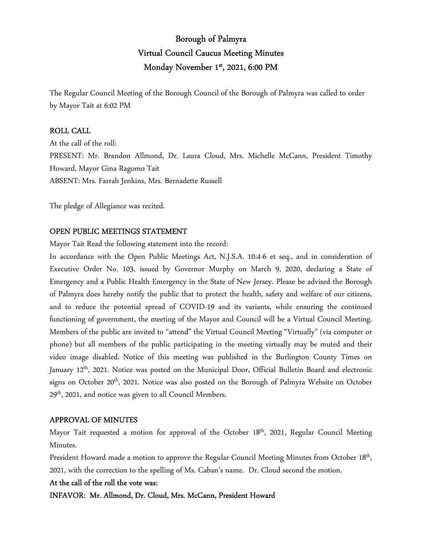# Borough of Palmyra Virtual Council Caucus Meeting Minutes Monday November 1<sup>st</sup>, 2021, 6:00 PM

The Regular Council Meeting of the Borough Council of the Borough of Palmyra was called to order by Mayor Tait at 6:02 PM

## ROLL CALL

At the call of the roll: PRESENT: Mr. Brandon Allmond, Dr. Laura Cloud, Mrs. Michelle McCann, President Timothy Howard, Mayor Gina Ragomo Tait ABSENT: Mrs. Farrah Jenkins, Mrs. Bernadette Russell

The pledge of Allegiance was recited.

## OPEN PUBLIC MEETINGS STATEMENT

Mayor Tait Read the following statement into the record:

In accordance with the Open Public Meetings Act, N.J.S.A. 10:4-6 et seq., and in consideration of Executive Order No. 103, issued by Governor Murphy on March 9, 2020, declaring a State of Emergency and a Public Health Emergency in the State of New Jersey. Please be advised the Borough of Palmyra does hereby notify the public that to protect the health, safety and welfare of our citizens, and to reduce the potential spread of COVID-19 and its variants, while ensuring the continued functioning of government, the meeting of the Mayor and Council will be a Virtual Council Meeting. Members of the public are invited to "attend" the Virtual Council Meeting "Virtually" (via computer or phone) but all members of the public participating in the meeting virtually may be muted and their video image disabled. Notice of this meeting was published in the Burlington County Times on January 12<sup>th</sup>, 2021. Notice was posted on the Municipal Door, Official Bulletin Board and electronic signs on October 20<sup>th</sup>, 2021. Notice was also posted on the Borough of Palmyra Website on October 29<sup>th</sup>, 2021, and notice was given to all Council Members.

## APPROVAL OF MINUTES

Mayor Tait requested a motion for approval of the October 18<sup>th</sup>, 2021, Regular Council Meeting Minutes.

President Howard made a motion to approve the Regular Council Meeting Minutes from October 18<sup>th</sup>, 2021, with the correction to the spelling of Ms. Caban's name. Dr. Cloud second the motion.

## At the call of the roll the vote was:

INFAVOR: Mr. Allmond, Dr. Cloud, Mrs. McCann, President Howard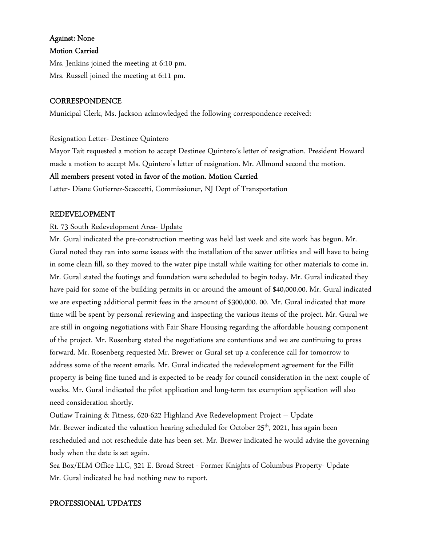## Against: None

## Motion Carried

Mrs. Jenkins joined the meeting at 6:10 pm. Mrs. Russell joined the meeting at 6:11 pm.

## **CORRESPONDENCE**

Municipal Clerk, Ms. Jackson acknowledged the following correspondence received:

## Resignation Letter- Destinee Quintero

Mayor Tait requested a motion to accept Destinee Quintero's letter of resignation. President Howard made a motion to accept Ms. Quintero's letter of resignation. Mr. Allmond second the motion.

## All members present voted in favor of the motion. Motion Carried

Letter- Diane Gutierrez-Scaccetti, Commissioner, NJ Dept of Transportation

## REDEVELOPMENT

## Rt. 73 South Redevelopment Area- Update

Mr. Gural indicated the pre-construction meeting was held last week and site work has begun. Mr. Gural noted they ran into some issues with the installation of the sewer utilities and will have to being in some clean fill, so they moved to the water pipe install while waiting for other materials to come in. Mr. Gural stated the footings and foundation were scheduled to begin today. Mr. Gural indicated they have paid for some of the building permits in or around the amount of \$40,000.00. Mr. Gural indicated we are expecting additional permit fees in the amount of \$300,000. 00. Mr. Gural indicated that more time will be spent by personal reviewing and inspecting the various items of the project. Mr. Gural we are still in ongoing negotiations with Fair Share Housing regarding the affordable housing component of the project. Mr. Rosenberg stated the negotiations are contentious and we are continuing to press forward. Mr. Rosenberg requested Mr. Brewer or Gural set up a conference call for tomorrow to address some of the recent emails. Mr. Gural indicated the redevelopment agreement for the Fillit property is being fine tuned and is expected to be ready for council consideration in the next couple of weeks. Mr. Gural indicated the pilot application and long-term tax exemption application will also need consideration shortly.

Outlaw Training & Fitness, 620-622 Highland Ave Redevelopment Project – Update Mr. Brewer indicated the valuation hearing scheduled for October 25<sup>th</sup>, 2021, has again been rescheduled and not reschedule date has been set. Mr. Brewer indicated he would advise the governing body when the date is set again.

Sea Box/ELM Office LLC, 321 E. Broad Street - Former Knights of Columbus Property- Update Mr. Gural indicated he had nothing new to report.

## PROFESSIONAL UPDATES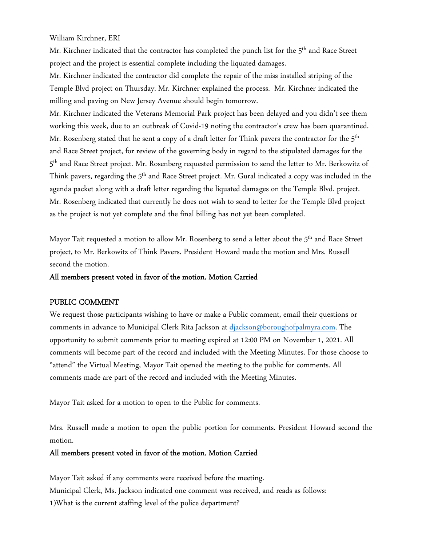William Kirchner, ERI

Mr. Kirchner indicated that the contractor has completed the punch list for the 5<sup>th</sup> and Race Street project and the project is essential complete including the liquated damages.

Mr. Kirchner indicated the contractor did complete the repair of the miss installed striping of the Temple Blvd project on Thursday. Mr. Kirchner explained the process. Mr. Kirchner indicated the milling and paving on New Jersey Avenue should begin tomorrow.

Mr. Kirchner indicated the Veterans Memorial Park project has been delayed and you didn't see them working this week, due to an outbreak of Covid-19 noting the contractor's crew has been quarantined. Mr. Rosenberg stated that he sent a copy of a draft letter for Think pavers the contractor for the  $5<sup>th</sup>$ and Race Street project, for review of the governing body in regard to the stipulated damages for the 5<sup>th</sup> and Race Street project. Mr. Rosenberg requested permission to send the letter to Mr. Berkowitz of Think pavers, regarding the 5<sup>th</sup> and Race Street project. Mr. Gural indicated a copy was included in the agenda packet along with a draft letter regarding the liquated damages on the Temple Blvd. project. Mr. Rosenberg indicated that currently he does not wish to send to letter for the Temple Blvd project as the project is not yet complete and the final billing has not yet been completed.

Mayor Tait requested a motion to allow Mr. Rosenberg to send a letter about the 5<sup>th</sup> and Race Street project, to Mr. Berkowitz of Think Pavers. President Howard made the motion and Mrs. Russell second the motion.

#### All members present voted in favor of the motion. Motion Carried

#### PUBLIC COMMENT

We request those participants wishing to have or make a Public comment, email their questions or comments in advance to Municipal Clerk Rita Jackson at djackson@boroughofpalmyra.com. The opportunity to submit comments prior to meeting expired at 12:00 PM on November 1, 2021. All comments will become part of the record and included with the Meeting Minutes. For those choose to "attend" the Virtual Meeting, Mayor Tait opened the meeting to the public for comments. All comments made are part of the record and included with the Meeting Minutes.

Mayor Tait asked for a motion to open to the Public for comments.

Mrs. Russell made a motion to open the public portion for comments. President Howard second the motion.

#### All members present voted in favor of the motion. Motion Carried

Mayor Tait asked if any comments were received before the meeting. Municipal Clerk, Ms. Jackson indicated one comment was received, and reads as follows: 1)What is the current staffing level of the police department?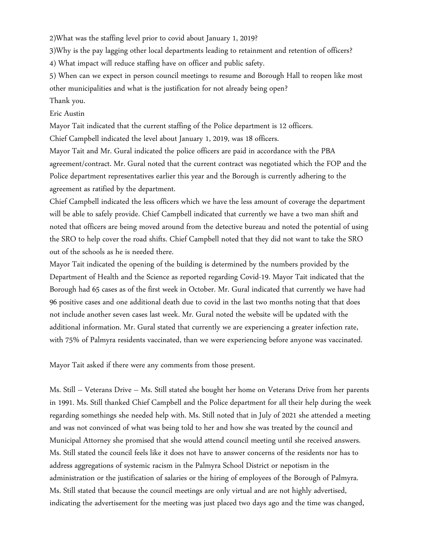2)What was the staffing level prior to covid about January 1, 2019?

3)Why is the pay lagging other local departments leading to retainment and retention of officers?

4) What impact will reduce staffing have on officer and public safety.

5) When can we expect in person council meetings to resume and Borough Hall to reopen like most other municipalities and what is the justification for not already being open?

## Thank you.

#### Eric Austin

Mayor Tait indicated that the current staffing of the Police department is 12 officers.

Chief Campbell indicated the level about January 1, 2019, was 18 officers.

Mayor Tait and Mr. Gural indicated the police officers are paid in accordance with the PBA agreement/contract. Mr. Gural noted that the current contract was negotiated which the FOP and the Police department representatives earlier this year and the Borough is currently adhering to the agreement as ratified by the department.

Chief Campbell indicated the less officers which we have the less amount of coverage the department will be able to safely provide. Chief Campbell indicated that currently we have a two man shift and noted that officers are being moved around from the detective bureau and noted the potential of using the SRO to help cover the road shifts. Chief Campbell noted that they did not want to take the SRO out of the schools as he is needed there.

Mayor Tait indicated the opening of the building is determined by the numbers provided by the Department of Health and the Science as reported regarding Covid-19. Mayor Tait indicated that the Borough had 65 cases as of the first week in October. Mr. Gural indicated that currently we have had 96 positive cases and one additional death due to covid in the last two months noting that that does not include another seven cases last week. Mr. Gural noted the website will be updated with the additional information. Mr. Gural stated that currently we are experiencing a greater infection rate, with 75% of Palmyra residents vaccinated, than we were experiencing before anyone was vaccinated.

Mayor Tait asked if there were any comments from those present.

Ms. Still – Veterans Drive – Ms. Still stated she bought her home on Veterans Drive from her parents in 1991. Ms. Still thanked Chief Campbell and the Police department for all their help during the week regarding somethings she needed help with. Ms. Still noted that in July of 2021 she attended a meeting and was not convinced of what was being told to her and how she was treated by the council and Municipal Attorney she promised that she would attend council meeting until she received answers. Ms. Still stated the council feels like it does not have to answer concerns of the residents nor has to address aggregations of systemic racism in the Palmyra School District or nepotism in the administration or the justification of salaries or the hiring of employees of the Borough of Palmyra. Ms. Still stated that because the council meetings are only virtual and are not highly advertised, indicating the advertisement for the meeting was just placed two days ago and the time was changed,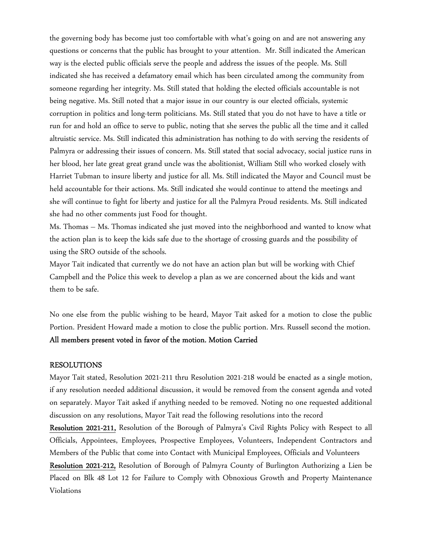the governing body has become just too comfortable with what's going on and are not answering any questions or concerns that the public has brought to your attention. Mr. Still indicated the American way is the elected public officials serve the people and address the issues of the people. Ms. Still indicated she has received a defamatory email which has been circulated among the community from someone regarding her integrity. Ms. Still stated that holding the elected officials accountable is not being negative. Ms. Still noted that a major issue in our country is our elected officials, systemic corruption in politics and long-term politicians. Ms. Still stated that you do not have to have a title or run for and hold an office to serve to public, noting that she serves the public all the time and it called altruistic service. Ms. Still indicated this administration has nothing to do with serving the residents of Palmyra or addressing their issues of concern. Ms. Still stated that social advocacy, social justice runs in her blood, her late great great grand uncle was the abolitionist, William Still who worked closely with Harriet Tubman to insure liberty and justice for all. Ms. Still indicated the Mayor and Council must be held accountable for their actions. Ms. Still indicated she would continue to attend the meetings and she will continue to fight for liberty and justice for all the Palmyra Proud residents. Ms. Still indicated she had no other comments just Food for thought.

Ms. Thomas – Ms. Thomas indicated she just moved into the neighborhood and wanted to know what the action plan is to keep the kids safe due to the shortage of crossing guards and the possibility of using the SRO outside of the schools.

Mayor Tait indicated that currently we do not have an action plan but will be working with Chief Campbell and the Police this week to develop a plan as we are concerned about the kids and want them to be safe.

No one else from the public wishing to be heard, Mayor Tait asked for a motion to close the public Portion. President Howard made a motion to close the public portion. Mrs. Russell second the motion. All members present voted in favor of the motion. Motion Carried

## RESOLUTIONS

Mayor Tait stated, Resolution 2021-211 thru Resolution 2021-218 would be enacted as a single motion, if any resolution needed additional discussion, it would be removed from the consent agenda and voted on separately. Mayor Tait asked if anything needed to be removed. Noting no one requested additional discussion on any resolutions, Mayor Tait read the following resolutions into the record

Resolution 2021-211, Resolution of the Borough of Palmyra's Civil Rights Policy with Respect to all Officials, Appointees, Employees, Prospective Employees, Volunteers, Independent Contractors and Members of the Public that come into Contact with Municipal Employees, Officials and Volunteers

Resolution 2021-212, Resolution of Borough of Palmyra County of Burlington Authorizing a Lien be Placed on Blk 48 Lot 12 for Failure to Comply with Obnoxious Growth and Property Maintenance Violations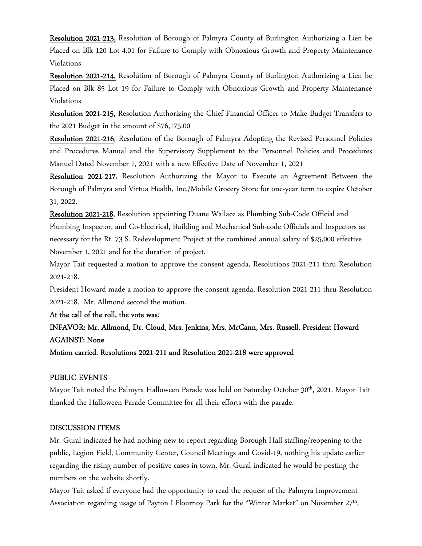Resolution 2021-213, Resolution of Borough of Palmyra County of Burlington Authorizing a Lien be Placed on Blk 120 Lot 4.01 for Failure to Comply with Obnoxious Growth and Property Maintenance Violations

Resolution 2021-214, Resolution of Borough of Palmyra County of Burlington Authorizing a Lien be Placed on Blk 85 Lot 19 for Failure to Comply with Obnoxious Growth and Property Maintenance Violations

Resolution 2021-215, Resolution Authorizing the Chief Financial Officer to Make Budget Transfers to the 2021 Budget in the amount of \$76,175.00

Resolution 2021-216, Resolution of the Borough of Palmyra Adopting the Revised Personnel Policies and Procedures Manual and the Supervisory Supplement to the Personnel Policies and Procedures Manuel Dated November 1, 2021 with a new Effective Date of November 1, 2021

Resolution 2021-217, Resolution Authorizing the Mayor to Execute an Agreement Between the Borough of Palmyra and Virtua Health, Inc./Mobile Grocery Store for one-year term to expire October 31, 2022.

Resolution 2021-218, Resolution appointing Duane Wallace as Plumbing Sub-Code Official and Plumbing Inspector, and Co-Electrical, Building and Mechanical Sub-code Officials and Inspectors as necessary for the Rt. 73 S. Redevelopment Project at the combined annual salary of \$25,000 effective November 1, 2021 and for the duration of project.

Mayor Tait requested a motion to approve the consent agenda, Resolutions 2021-211 thru Resolution 2021-218.

President Howard made a motion to approve the consent agenda, Resolution 2021-211 thru Resolution 2021-218. Mr. Allmond second the motion.

At the call of the roll, the vote was:

INFAVOR: Mr. Allmond, Dr. Cloud, Mrs. Jenkins, Mrs. McCann, Mrs. Russell, President Howard AGAINST: None

Motion carried. Resolutions 2021-211 and Resolution 2021-218 were approved

## PUBLIC EVENTS

Mayor Tait noted the Palmyra Halloween Parade was held on Saturday October 30<sup>th</sup>, 2021. Mayor Tait thanked the Halloween Parade Committee for all their efforts with the parade.

## DISCUSSION ITEMS

Mr. Gural indicated he had nothing new to report regarding Borough Hall staffing/reopening to the public, Legion Field, Community Center, Council Meetings and Covid-19, nothing his update earlier regarding the rising number of positive cases in town. Mr. Gural indicated he would be posting the numbers on the website shortly.

Mayor Tait asked if everyone had the opportunity to read the request of the Palmyra Improvement Association regarding usage of Payton I Flournoy Park for the "Winter Market" on November 27<sup>th</sup>,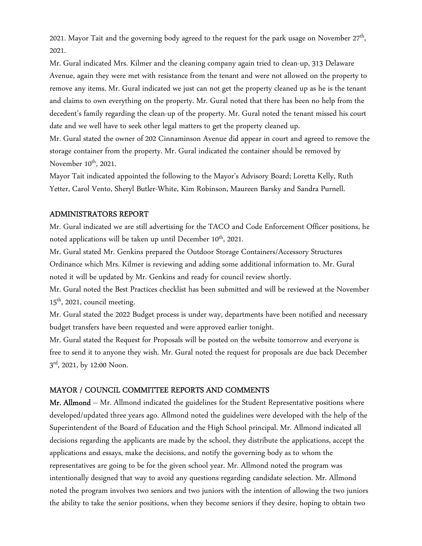2021. Mayor Tait and the governing body agreed to the request for the park usage on November  $27<sup>th</sup>$ , 2021.

Mr. Gural indicated Mrs. Kilmer and the cleaning company again tried to clean-up, 313 Delaware Avenue, again they were met with resistance from the tenant and were not allowed on the property to remove any items. Mr. Gural indicated we just can not get the property cleaned up as he is the tenant and claims to own everything on the property. Mr. Gural noted that there has been no help from the decedent's family regarding the clean-up of the property. Mr. Gural noted the tenant missed his court date and we well have to seek other legal matters to get the property cleaned up.

Mr. Gural stated the owner of 202 Cinnaminson Avenue did appear in court and agreed to remove the storage container from the property. Mr. Gural indicated the container should be removed by November  $10^{th}$ , 2021.

Mayor Tait indicated appointed the following to the Mayor's Advisory Board; Loretta Kelly, Ruth Yetter, Carol Vento, Sheryl Butler-White, Kim Robinson, Maureen Barsky and Sandra Purnell.

## ADMINISTRATORS REPORT

Mr. Gural indicated we are still advertising for the TACO and Code Enforcement Officer positions, he noted applications will be taken up until December 10<sup>th</sup>, 2021.

Mr. Gural stated Mr. Genkins prepared the Outdoor Storage Containers/Accessory Structures Ordinance which Mrs. Kilmer is reviewing and adding some additional information to. Mr. Gural noted it will be updated by Mr. Genkins and ready for council review shortly.

Mr. Gural noted the Best Practices checklist has been submitted and will be reviewed at the November  $15<sup>th</sup>$ , 2021, council meeting.

Mr. Gural stated the 2022 Budget process is under way, departments have been notified and necessary budget transfers have been requested and were approved earlier tonight.

Mr. Gural stated the Request for Proposals will be posted on the website tomorrow and everyone is free to send it to anyone they wish. Mr. Gural noted the request for proposals are due back December 3<sup>rd</sup>, 2021, by 12:00 Noon.

#### MAYOR / COUNCIL COMMITTEE REPORTS AND COMMENTS

Mr. Allmond – Mr. Allmond indicated the guidelines for the Student Representative positions where developed/updated three years ago. Allmond noted the guidelines were developed with the help of the Superintendent of the Board of Education and the High School principal. Mr. Allmond indicated all decisions regarding the applicants are made by the school, they distribute the applications, accept the applications and essays, make the decisions, and notify the governing body as to whom the representatives are going to be for the given school year. Mr. Allmond noted the program was intentionally designed that way to avoid any questions regarding candidate selection. Mr. Allmond noted the program involves two seniors and two juniors with the intention of allowing the two juniors the ability to take the senior positions, when they become seniors if they desire, hoping to obtain two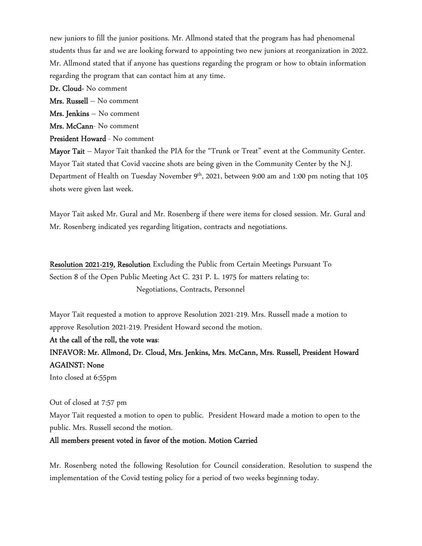new juniors to fill the junior positions. Mr. Allmond stated that the program has had phenomenal students thus far and we are looking forward to appointing two new juniors at reorganization in 2022. Mr. Allmond stated that if anyone has questions regarding the program or how to obtain information regarding the program that can contact him at any time.

Dr. Cloud- No comment

Mrs. Russell – No comment

Mrs. Jenkins – No comment

Mrs. McCann- No comment

President Howard - No comment

Mayor Tait – Mayor Tait thanked the PIA for the "Trunk or Treat" event at the Community Center. Mayor Tait stated that Covid vaccine shots are being given in the Community Center by the N.J. Department of Health on Tuesday November 9<sup>th</sup>, 2021, between 9:00 am and 1:00 pm noting that 105 shots were given last week.

Mayor Tait asked Mr. Gural and Mr. Rosenberg if there were items for closed session. Mr. Gural and Mr. Rosenberg indicated yes regarding litigation, contracts and negotiations.

Resolution 2021-219, Resolution Excluding the Public from Certain Meetings Pursuant To Section 8 of the Open Public Meeting Act C. 231 P. L. 1975 for matters relating to: Negotiations, Contracts, Personnel

Mayor Tait requested a motion to approve Resolution 2021-219. Mrs. Russell made a motion to approve Resolution 2021-219. President Howard second the motion.

At the call of the roll, the vote was:

INFAVOR: Mr. Allmond, Dr. Cloud, Mrs. Jenkins, Mrs. McCann, Mrs. Russell, President Howard AGAINST: None

Into closed at 6:55pm

Out of closed at 7:57 pm Mayor Tait requested a motion to open to public. President Howard made a motion to open to the public. Mrs. Russell second the motion.

#### All members present voted in favor of the motion. Motion Carried

Mr. Rosenberg noted the following Resolution for Council consideration. Resolution to suspend the implementation of the Covid testing policy for a period of two weeks beginning today.